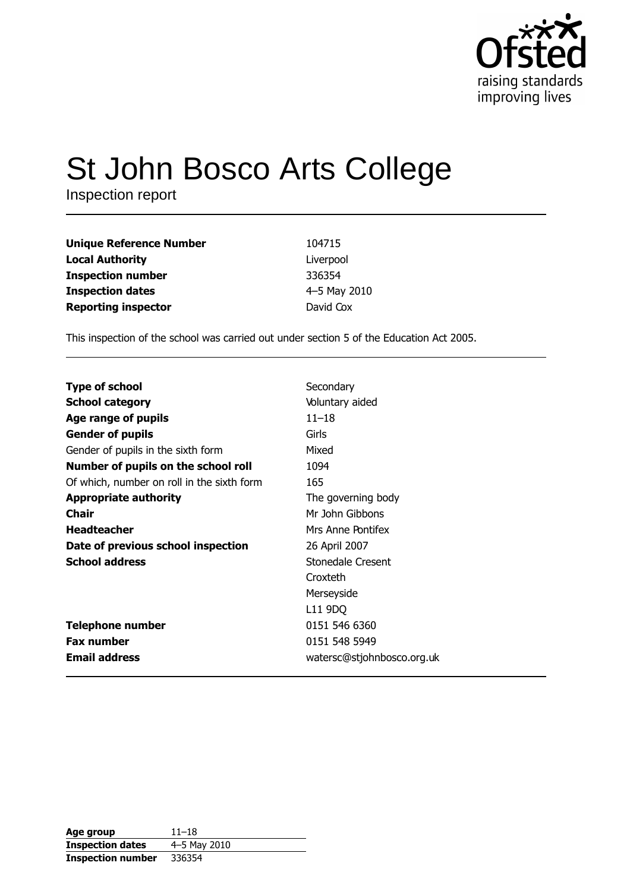

# St John Bosco Arts College

Inspection report

| <b>Unique Reference Number</b> | 104715       |
|--------------------------------|--------------|
| <b>Local Authority</b>         | Liverpool    |
| <b>Inspection number</b>       | 336354       |
| <b>Inspection dates</b>        | 4-5 May 2010 |
| <b>Reporting inspector</b>     | David Cox    |

This inspection of the school was carried out under section 5 of the Education Act 2005.

| <b>Type of school</b>                      | Secondary                  |
|--------------------------------------------|----------------------------|
| <b>School category</b>                     | Voluntary aided            |
| Age range of pupils                        | $11 - 18$                  |
| <b>Gender of pupils</b>                    | Girls                      |
| Gender of pupils in the sixth form         | Mixed                      |
| Number of pupils on the school roll        | 1094                       |
| Of which, number on roll in the sixth form | 165                        |
| <b>Appropriate authority</b>               | The governing body         |
| <b>Chair</b>                               | Mr John Gibbons            |
| <b>Headteacher</b>                         | Mrs Anne Pontifex          |
| Date of previous school inspection         | 26 April 2007              |
| <b>School address</b>                      | Stonedale Cresent          |
|                                            | Croxteth                   |
|                                            | Merseyside                 |
|                                            | L11 9DQ                    |
| <b>Telephone number</b>                    | 0151 546 6360              |
| <b>Fax number</b>                          | 0151 548 5949              |
| <b>Email address</b>                       | watersc@stjohnbosco.org.uk |

| Age group                | $11 - 18$    |
|--------------------------|--------------|
| <b>Inspection dates</b>  | 4-5 May 2010 |
| <b>Inspection number</b> | 336354       |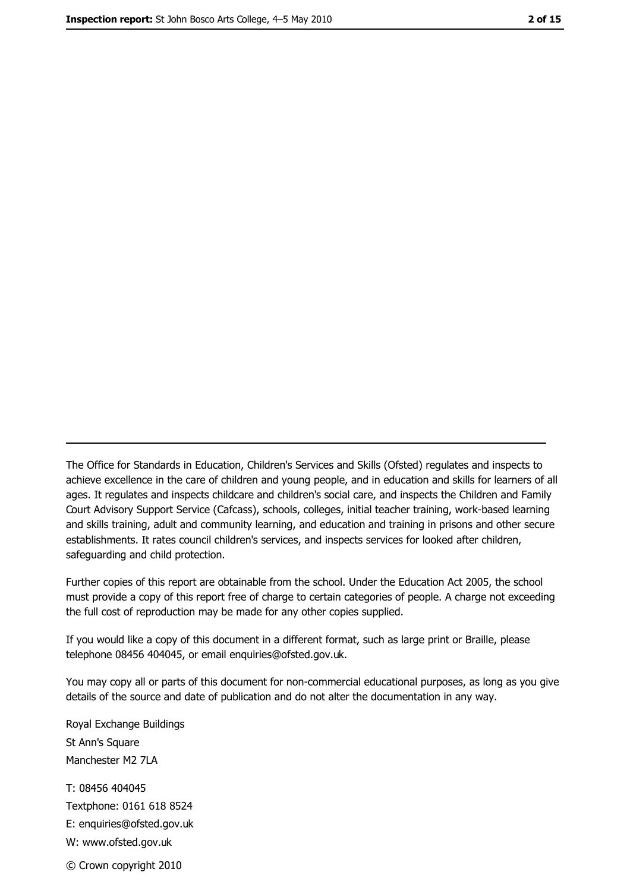The Office for Standards in Education, Children's Services and Skills (Ofsted) regulates and inspects to achieve excellence in the care of children and young people, and in education and skills for learners of all ages. It regulates and inspects childcare and children's social care, and inspects the Children and Family Court Advisory Support Service (Cafcass), schools, colleges, initial teacher training, work-based learning and skills training, adult and community learning, and education and training in prisons and other secure establishments. It rates council children's services, and inspects services for looked after children, safequarding and child protection.

Further copies of this report are obtainable from the school. Under the Education Act 2005, the school must provide a copy of this report free of charge to certain categories of people. A charge not exceeding the full cost of reproduction may be made for any other copies supplied.

If you would like a copy of this document in a different format, such as large print or Braille, please telephone 08456 404045, or email enquiries@ofsted.gov.uk.

You may copy all or parts of this document for non-commercial educational purposes, as long as you give details of the source and date of publication and do not alter the documentation in any way.

Royal Exchange Buildings St Ann's Square Manchester M2 7LA T: 08456 404045 Textphone: 0161 618 8524 E: enquiries@ofsted.gov.uk W: www.ofsted.gov.uk © Crown copyright 2010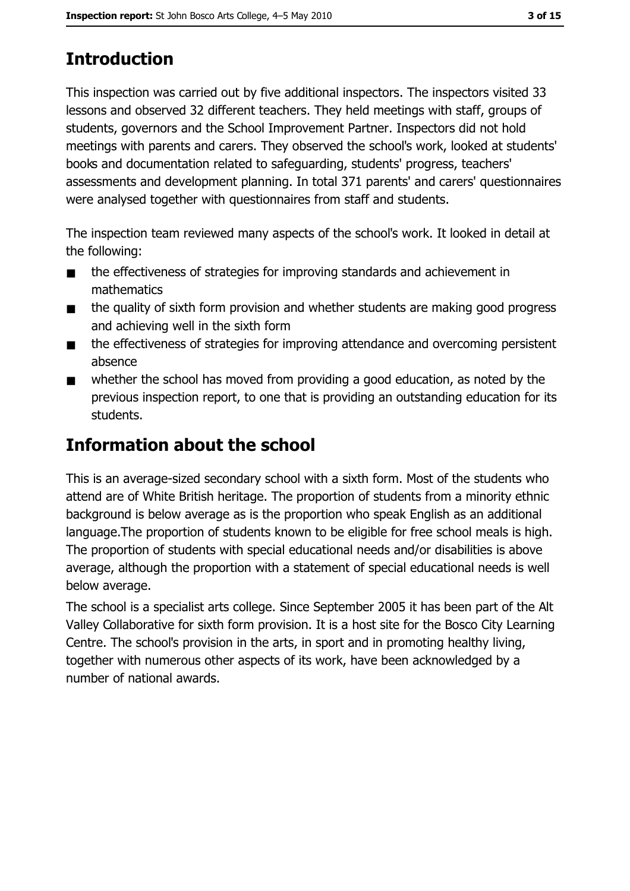# **Introduction**

This inspection was carried out by five additional inspectors. The inspectors visited 33 lessons and observed 32 different teachers. They held meetings with staff, groups of students, governors and the School Improvement Partner. Inspectors did not hold meetings with parents and carers. They observed the school's work, looked at students' books and documentation related to safeguarding, students' progress, teachers' assessments and development planning. In total 371 parents' and carers' questionnaires were analysed together with questionnaires from staff and students.

The inspection team reviewed many aspects of the school's work. It looked in detail at the following:

- the effectiveness of strategies for improving standards and achievement in  $\blacksquare$ mathematics
- the quality of sixth form provision and whether students are making good progress  $\blacksquare$ and achieving well in the sixth form
- the effectiveness of strategies for improving attendance and overcoming persistent  $\blacksquare$ absence
- whether the school has moved from providing a good education, as noted by the  $\blacksquare$ previous inspection report, to one that is providing an outstanding education for its students.

# **Information about the school**

This is an average-sized secondary school with a sixth form. Most of the students who attend are of White British heritage. The proportion of students from a minority ethnic background is below average as is the proportion who speak English as an additional language. The proportion of students known to be eligible for free school meals is high. The proportion of students with special educational needs and/or disabilities is above average, although the proportion with a statement of special educational needs is well below average.

The school is a specialist arts college. Since September 2005 it has been part of the Alt Valley Collaborative for sixth form provision. It is a host site for the Bosco City Learning Centre. The school's provision in the arts, in sport and in promoting healthy living, together with numerous other aspects of its work, have been acknowledged by a number of national awards.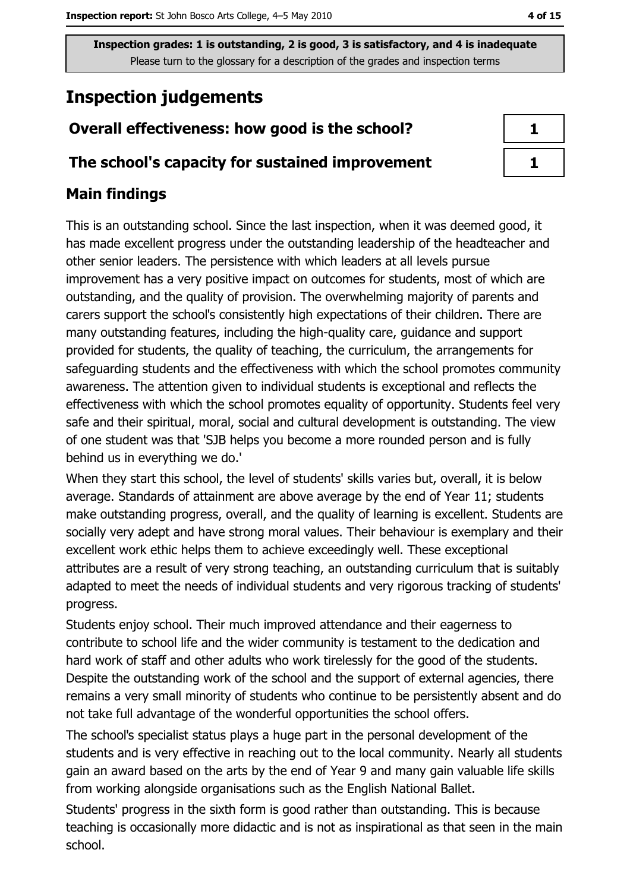# **Inspection judgements**

## Overall effectiveness: how good is the school?

#### The school's capacity for sustained improvement

#### **Main findings**

This is an outstanding school. Since the last inspection, when it was deemed good, it has made excellent progress under the outstanding leadership of the headteacher and other senior leaders. The persistence with which leaders at all levels pursue improvement has a very positive impact on outcomes for students, most of which are outstanding, and the quality of provision. The overwhelming majority of parents and carers support the school's consistently high expectations of their children. There are many outstanding features, including the high-quality care, guidance and support provided for students, the quality of teaching, the curriculum, the arrangements for safeguarding students and the effectiveness with which the school promotes community awareness. The attention given to individual students is exceptional and reflects the effectiveness with which the school promotes equality of opportunity. Students feel very safe and their spiritual, moral, social and cultural development is outstanding. The view of one student was that 'SJB helps you become a more rounded person and is fully behind us in everything we do.'

When they start this school, the level of students' skills varies but, overall, it is below average. Standards of attainment are above average by the end of Year 11; students make outstanding progress, overall, and the quality of learning is excellent. Students are socially very adept and have strong moral values. Their behaviour is exemplary and their excellent work ethic helps them to achieve exceedingly well. These exceptional attributes are a result of very strong teaching, an outstanding curriculum that is suitably adapted to meet the needs of individual students and very rigorous tracking of students' progress.

Students enjoy school. Their much improved attendance and their eagerness to contribute to school life and the wider community is testament to the dedication and hard work of staff and other adults who work tirelessly for the good of the students. Despite the outstanding work of the school and the support of external agencies, there remains a very small minority of students who continue to be persistently absent and do not take full advantage of the wonderful opportunities the school offers.

The school's specialist status plays a huge part in the personal development of the students and is very effective in reaching out to the local community. Nearly all students gain an award based on the arts by the end of Year 9 and many gain valuable life skills from working alongside organisations such as the English National Ballet.

Students' progress in the sixth form is good rather than outstanding. This is because teaching is occasionally more didactic and is not as inspirational as that seen in the main school.

4 of 15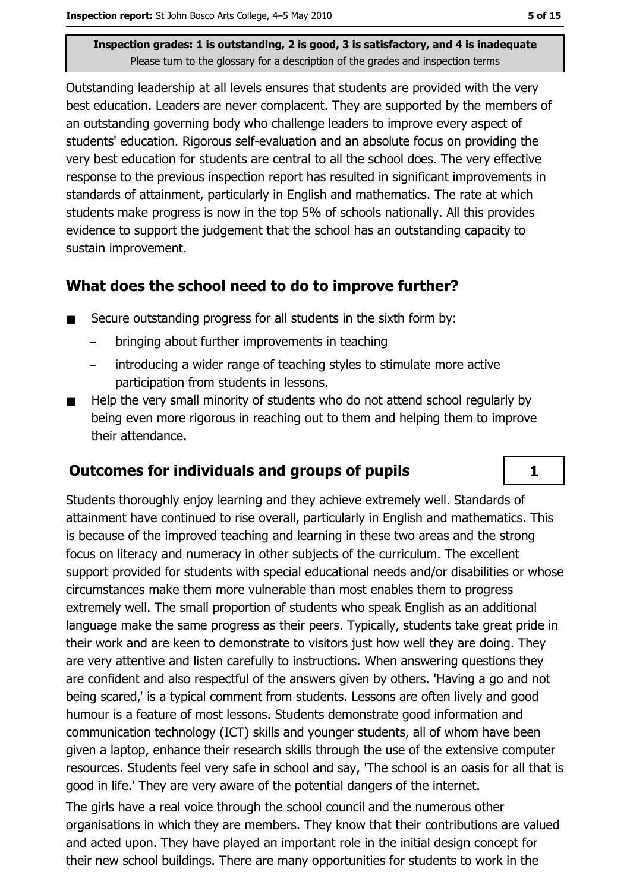Outstanding leadership at all levels ensures that students are provided with the very best education. Leaders are never complacent. They are supported by the members of an outstanding governing body who challenge leaders to improve every aspect of students' education. Rigorous self-evaluation and an absolute focus on providing the very best education for students are central to all the school does. The very effective response to the previous inspection report has resulted in significant improvements in standards of attainment, particularly in English and mathematics. The rate at which students make progress is now in the top 5% of schools nationally. All this provides evidence to support the judgement that the school has an outstanding capacity to sustain improvement.

#### What does the school need to do to improve further?

- Secure outstanding progress for all students in the sixth form by:  $\blacksquare$ 
	- bringing about further improvements in teaching
	- introducing a wider range of teaching styles to stimulate more active  $\equiv$ participation from students in lessons.
- Help the very small minority of students who do not attend school regularly by  $\blacksquare$ being even more rigorous in reaching out to them and helping them to improve their attendance.

## **Outcomes for individuals and groups of pupils**

Students thoroughly enjoy learning and they achieve extremely well. Standards of attainment have continued to rise overall, particularly in English and mathematics. This is because of the improved teaching and learning in these two areas and the strong focus on literacy and numeracy in other subjects of the curriculum. The excellent support provided for students with special educational needs and/or disabilities or whose circumstances make them more vulnerable than most enables them to progress extremely well. The small proportion of students who speak English as an additional language make the same progress as their peers. Typically, students take great pride in their work and are keen to demonstrate to visitors just how well they are doing. They are very attentive and listen carefully to instructions. When answering questions they are confident and also respectful of the answers given by others. 'Having a go and not being scared,' is a typical comment from students. Lessons are often lively and good humour is a feature of most lessons. Students demonstrate good information and communication technology (ICT) skills and younger students, all of whom have been given a laptop, enhance their research skills through the use of the extensive computer resources. Students feel very safe in school and say, 'The school is an oasis for all that is good in life.' They are very aware of the potential dangers of the internet.

The girls have a real voice through the school council and the numerous other organisations in which they are members. They know that their contributions are valued and acted upon. They have played an important role in the initial design concept for their new school buildings. There are many opportunities for students to work in the

 $\mathbf{1}$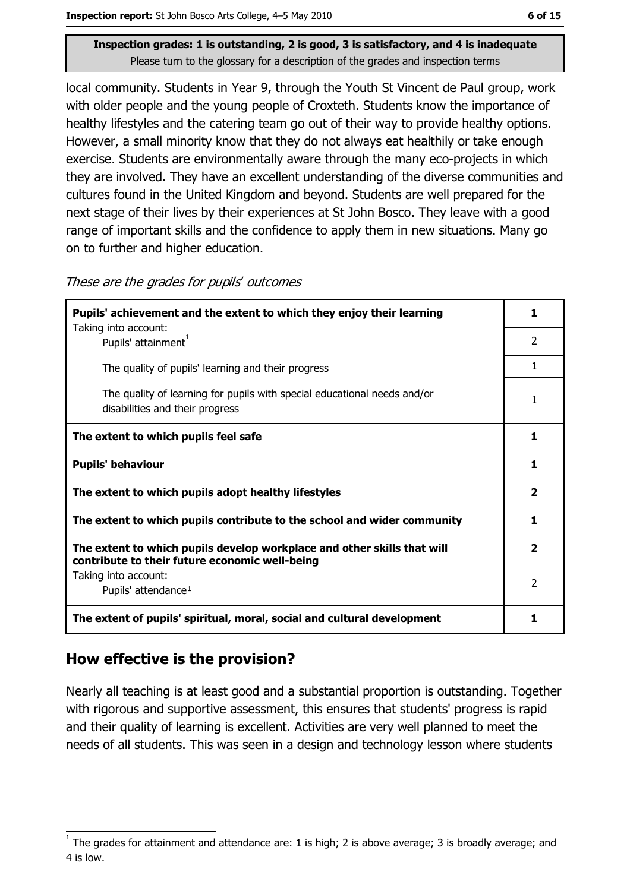local community. Students in Year 9, through the Youth St Vincent de Paul group, work with older people and the young people of Croxteth. Students know the importance of healthy lifestyles and the catering team go out of their way to provide healthy options. However, a small minority know that they do not always eat healthily or take enough exercise. Students are environmentally aware through the many eco-projects in which they are involved. They have an excellent understanding of the diverse communities and cultures found in the United Kingdom and beyond. Students are well prepared for the next stage of their lives by their experiences at St John Bosco. They leave with a good range of important skills and the confidence to apply them in new situations. Many go on to further and higher education.

These are the grades for pupils' outcomes

| Pupils' achievement and the extent to which they enjoy their learning                                                     |                |  |
|---------------------------------------------------------------------------------------------------------------------------|----------------|--|
| Taking into account:<br>Pupils' attainment <sup>1</sup>                                                                   | $\mathcal{P}$  |  |
| The quality of pupils' learning and their progress                                                                        | 1              |  |
| The quality of learning for pupils with special educational needs and/or<br>disabilities and their progress               | 1              |  |
| The extent to which pupils feel safe                                                                                      | 1              |  |
| <b>Pupils' behaviour</b>                                                                                                  | 1              |  |
| The extent to which pupils adopt healthy lifestyles                                                                       | $\mathbf{2}$   |  |
| The extent to which pupils contribute to the school and wider community                                                   |                |  |
| The extent to which pupils develop workplace and other skills that will<br>contribute to their future economic well-being |                |  |
| Taking into account:<br>Pupils' attendance <sup>1</sup>                                                                   | $\overline{2}$ |  |
| The extent of pupils' spiritual, moral, social and cultural development                                                   | 1              |  |

## How effective is the provision?

Nearly all teaching is at least good and a substantial proportion is outstanding. Together with rigorous and supportive assessment, this ensures that students' progress is rapid and their quality of learning is excellent. Activities are very well planned to meet the needs of all students. This was seen in a design and technology lesson where students

The grades for attainment and attendance are: 1 is high; 2 is above average; 3 is broadly average; and 4 is low.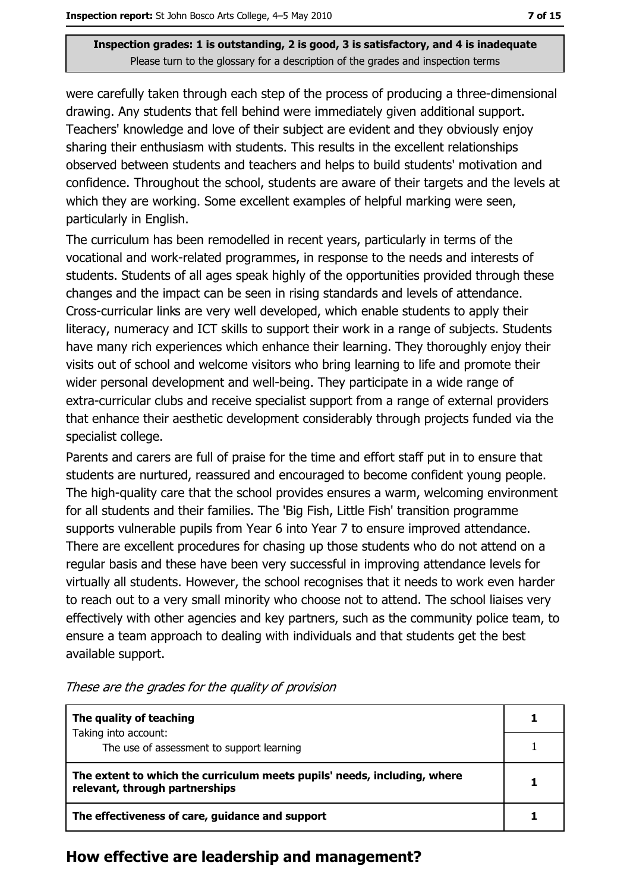were carefully taken through each step of the process of producing a three-dimensional drawing. Any students that fell behind were immediately given additional support. Teachers' knowledge and love of their subject are evident and they obviously enjoy sharing their enthusiasm with students. This results in the excellent relationships observed between students and teachers and helps to build students' motivation and confidence. Throughout the school, students are aware of their targets and the levels at which they are working. Some excellent examples of helpful marking were seen, particularly in English.

The curriculum has been remodelled in recent years, particularly in terms of the vocational and work-related programmes, in response to the needs and interests of students. Students of all ages speak highly of the opportunities provided through these changes and the impact can be seen in rising standards and levels of attendance. Cross-curricular links are very well developed, which enable students to apply their literacy, numeracy and ICT skills to support their work in a range of subjects. Students have many rich experiences which enhance their learning. They thoroughly enjoy their visits out of school and welcome visitors who bring learning to life and promote their wider personal development and well-being. They participate in a wide range of extra-curricular clubs and receive specialist support from a range of external providers that enhance their aesthetic development considerably through projects funded via the specialist college.

Parents and carers are full of praise for the time and effort staff put in to ensure that students are nurtured, reassured and encouraged to become confident young people. The high-quality care that the school provides ensures a warm, welcoming environment for all students and their families. The 'Big Fish, Little Fish' transition programme supports vulnerable pupils from Year 6 into Year 7 to ensure improved attendance. There are excellent procedures for chasing up those students who do not attend on a regular basis and these have been very successful in improving attendance levels for virtually all students. However, the school recognises that it needs to work even harder to reach out to a very small minority who choose not to attend. The school liaises very effectively with other agencies and key partners, such as the community police team, to ensure a team approach to dealing with individuals and that students get the best available support.

| The quality of teaching                                                                                    |  |
|------------------------------------------------------------------------------------------------------------|--|
| Taking into account:<br>The use of assessment to support learning                                          |  |
| The extent to which the curriculum meets pupils' needs, including, where<br>relevant, through partnerships |  |
| The effectiveness of care, guidance and support                                                            |  |

These are the grades for the quality of provision

#### How effective are leadership and management?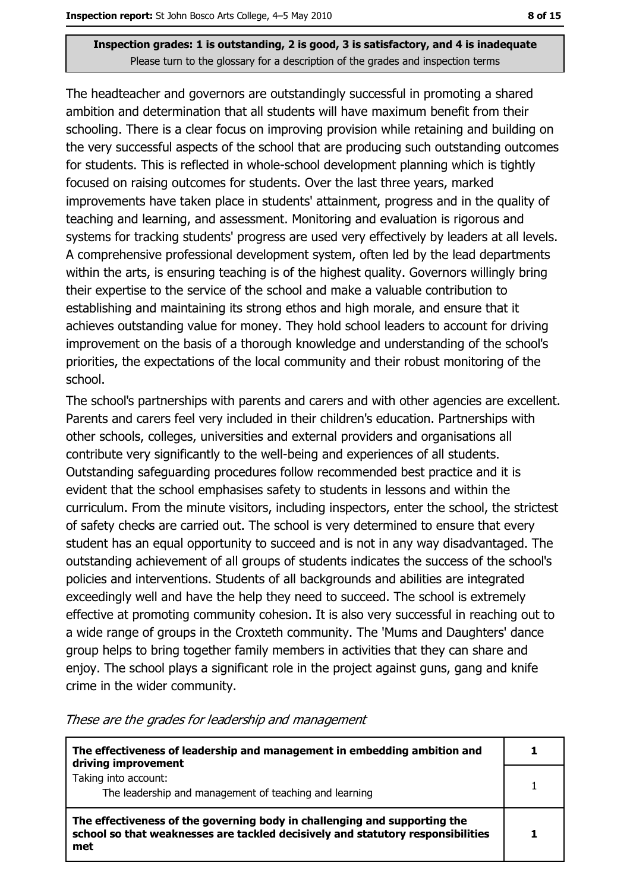The headteacher and governors are outstandingly successful in promoting a shared ambition and determination that all students will have maximum benefit from their schooling. There is a clear focus on improving provision while retaining and building on the very successful aspects of the school that are producing such outstanding outcomes for students. This is reflected in whole-school development planning which is tightly focused on raising outcomes for students. Over the last three years, marked improvements have taken place in students' attainment, progress and in the quality of teaching and learning, and assessment. Monitoring and evaluation is rigorous and systems for tracking students' progress are used very effectively by leaders at all levels. A comprehensive professional development system, often led by the lead departments within the arts, is ensuring teaching is of the highest quality. Governors willingly bring their expertise to the service of the school and make a valuable contribution to establishing and maintaining its strong ethos and high morale, and ensure that it achieves outstanding value for money. They hold school leaders to account for driving improvement on the basis of a thorough knowledge and understanding of the school's priorities, the expectations of the local community and their robust monitoring of the school.

The school's partnerships with parents and carers and with other agencies are excellent. Parents and carers feel very included in their children's education. Partnerships with other schools, colleges, universities and external providers and organisations all contribute very significantly to the well-being and experiences of all students. Outstanding safeguarding procedures follow recommended best practice and it is evident that the school emphasises safety to students in lessons and within the curriculum. From the minute visitors, including inspectors, enter the school, the strictest of safety checks are carried out. The school is very determined to ensure that every student has an equal opportunity to succeed and is not in any way disadvantaged. The outstanding achievement of all groups of students indicates the success of the school's policies and interventions. Students of all backgrounds and abilities are integrated exceedingly well and have the help they need to succeed. The school is extremely effective at promoting community cohesion. It is also very successful in reaching out to a wide range of groups in the Croxteth community. The 'Mums and Daughters' dance group helps to bring together family members in activities that they can share and enjoy. The school plays a significant role in the project against guns, gang and knife crime in the wider community.

| The effectiveness of leadership and management in embedding ambition and<br>driving improvement                                                                     |  |
|---------------------------------------------------------------------------------------------------------------------------------------------------------------------|--|
| Taking into account:<br>The leadership and management of teaching and learning                                                                                      |  |
| The effectiveness of the governing body in challenging and supporting the<br>school so that weaknesses are tackled decisively and statutory responsibilities<br>met |  |

These are the grades for leadership and management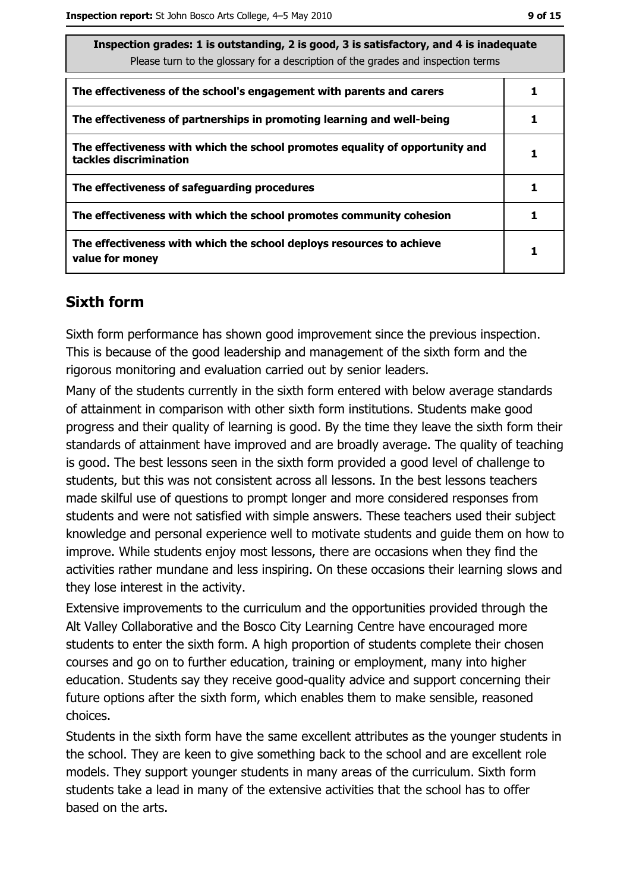| Inspection grades: 1 is outstanding, 2 is good, 3 is satisfactory, and 4 is inadequate<br>Please turn to the glossary for a description of the grades and inspection terms |  |  |
|----------------------------------------------------------------------------------------------------------------------------------------------------------------------------|--|--|
| The effectiveness of the school's engagement with parents and carers                                                                                                       |  |  |
| The effectiveness of partnerships in promoting learning and well-being                                                                                                     |  |  |
| The effectiveness with which the school promotes equality of opportunity and<br>tackles discrimination                                                                     |  |  |
| The effectiveness of safeguarding procedures                                                                                                                               |  |  |
| The effectiveness with which the school promotes community cohesion                                                                                                        |  |  |
| The effectiveness with which the school deploys resources to achieve<br>value for money                                                                                    |  |  |

## **Sixth form**

Sixth form performance has shown good improvement since the previous inspection. This is because of the good leadership and management of the sixth form and the rigorous monitoring and evaluation carried out by senior leaders.

Many of the students currently in the sixth form entered with below average standards of attainment in comparison with other sixth form institutions. Students make good progress and their quality of learning is good. By the time they leave the sixth form their standards of attainment have improved and are broadly average. The quality of teaching is good. The best lessons seen in the sixth form provided a good level of challenge to students, but this was not consistent across all lessons. In the best lessons teachers made skilful use of questions to prompt longer and more considered responses from students and were not satisfied with simple answers. These teachers used their subject knowledge and personal experience well to motivate students and quide them on how to improve. While students enjoy most lessons, there are occasions when they find the activities rather mundane and less inspiring. On these occasions their learning slows and they lose interest in the activity.

Extensive improvements to the curriculum and the opportunities provided through the Alt Valley Collaborative and the Bosco City Learning Centre have encouraged more students to enter the sixth form. A high proportion of students complete their chosen courses and go on to further education, training or employment, many into higher education. Students say they receive good-quality advice and support concerning their future options after the sixth form, which enables them to make sensible, reasoned choices.

Students in the sixth form have the same excellent attributes as the younger students in the school. They are keen to give something back to the school and are excellent role models. They support younger students in many areas of the curriculum. Sixth form students take a lead in many of the extensive activities that the school has to offer based on the arts.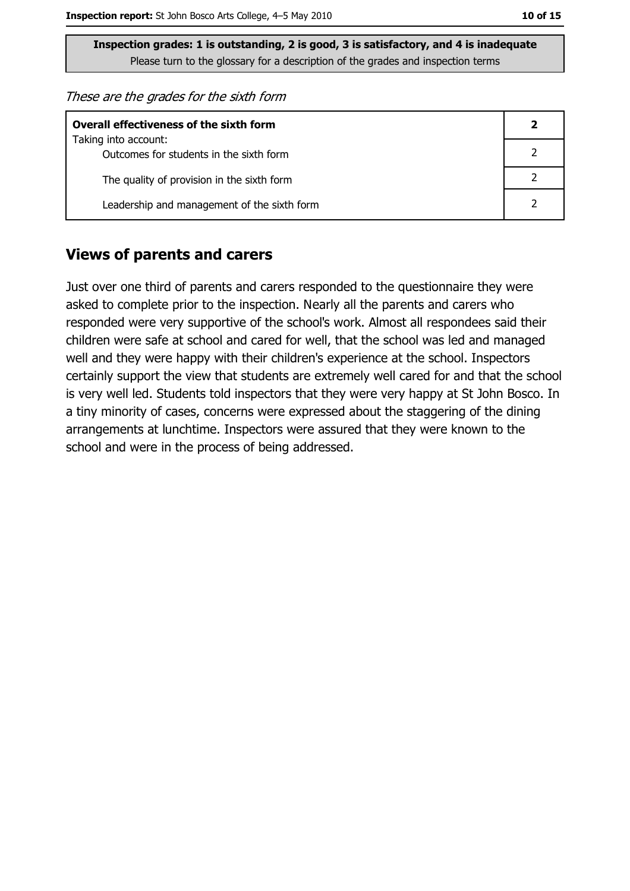These are the grades for the sixth form

| <b>Overall effectiveness of the sixth form</b> |  |  |  |
|------------------------------------------------|--|--|--|
| Taking into account:                           |  |  |  |
| Outcomes for students in the sixth form        |  |  |  |
| The quality of provision in the sixth form     |  |  |  |
| Leadership and management of the sixth form    |  |  |  |

#### **Views of parents and carers**

Just over one third of parents and carers responded to the questionnaire they were asked to complete prior to the inspection. Nearly all the parents and carers who responded were very supportive of the school's work. Almost all respondees said their children were safe at school and cared for well, that the school was led and managed well and they were happy with their children's experience at the school. Inspectors certainly support the view that students are extremely well cared for and that the school is very well led. Students told inspectors that they were very happy at St John Bosco. In a tiny minority of cases, concerns were expressed about the staggering of the dining arrangements at lunchtime. Inspectors were assured that they were known to the school and were in the process of being addressed.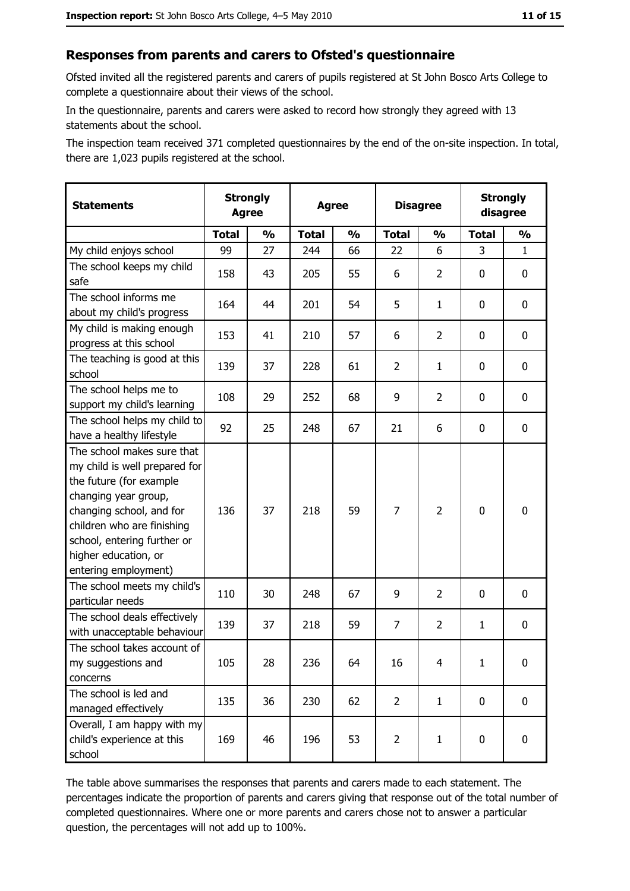#### Responses from parents and carers to Ofsted's questionnaire

Ofsted invited all the registered parents and carers of pupils registered at St John Bosco Arts College to complete a questionnaire about their views of the school.

In the questionnaire, parents and carers were asked to record how strongly they agreed with 13 statements about the school.

The inspection team received 371 completed questionnaires by the end of the on-site inspection. In total, there are 1,023 pupils registered at the school.

| <b>Statements</b>                                                                                                                                                                                                                                       | <b>Strongly</b><br><b>Agree</b> |               |              | <b>Agree</b>  |                | <b>Disagree</b> |              | <b>Strongly</b><br>disagree |
|---------------------------------------------------------------------------------------------------------------------------------------------------------------------------------------------------------------------------------------------------------|---------------------------------|---------------|--------------|---------------|----------------|-----------------|--------------|-----------------------------|
|                                                                                                                                                                                                                                                         | <b>Total</b>                    | $\frac{1}{2}$ | <b>Total</b> | $\frac{1}{2}$ | <b>Total</b>   | $\frac{1}{2}$   | <b>Total</b> | $\frac{1}{2}$               |
| My child enjoys school                                                                                                                                                                                                                                  | 99                              | 27            | 244          | 66            | 22             | 6               | 3            | $\mathbf{1}$                |
| The school keeps my child<br>safe                                                                                                                                                                                                                       | 158                             | 43            | 205          | 55            | 6              | $\overline{2}$  | 0            | $\mathbf 0$                 |
| The school informs me<br>about my child's progress                                                                                                                                                                                                      | 164                             | 44            | 201          | 54            | 5              | $\mathbf{1}$    | 0            | $\mathbf 0$                 |
| My child is making enough<br>progress at this school                                                                                                                                                                                                    | 153                             | 41            | 210          | 57            | 6              | $\overline{2}$  | 0            | 0                           |
| The teaching is good at this<br>school                                                                                                                                                                                                                  | 139                             | 37            | 228          | 61            | $\overline{2}$ | $\mathbf{1}$    | 0            | 0                           |
| The school helps me to<br>support my child's learning                                                                                                                                                                                                   | 108                             | 29            | 252          | 68            | 9              | $\overline{2}$  | 0            | 0                           |
| The school helps my child to<br>have a healthy lifestyle                                                                                                                                                                                                | 92                              | 25            | 248          | 67            | 21             | 6               | 0            | $\mathbf 0$                 |
| The school makes sure that<br>my child is well prepared for<br>the future (for example<br>changing year group,<br>changing school, and for<br>children who are finishing<br>school, entering further or<br>higher education, or<br>entering employment) | 136                             | 37            | 218          | 59            | 7              | 2               | $\mathbf 0$  | $\mathbf 0$                 |
| The school meets my child's<br>particular needs                                                                                                                                                                                                         | 110                             | 30            | 248          | 67            | 9              | $\overline{2}$  | 0            | 0                           |
| The school deals effectively<br>with unacceptable behaviour                                                                                                                                                                                             | 139                             | 37            | 218          | 59            | $\overline{7}$ | 2               | 1            | $\mathbf 0$                 |
| The school takes account of<br>my suggestions and<br>concerns                                                                                                                                                                                           | 105                             | 28            | 236          | 64            | 16             | 4               | $\mathbf{1}$ | 0                           |
| The school is led and<br>managed effectively                                                                                                                                                                                                            | 135                             | 36            | 230          | 62            | $\overline{2}$ | $\mathbf{1}$    | $\bf{0}$     | $\mathbf 0$                 |
| Overall, I am happy with my<br>child's experience at this<br>school                                                                                                                                                                                     | 169                             | 46            | 196          | 53            | $\overline{2}$ | $\mathbf{1}$    | $\mathbf 0$  | $\mathbf 0$                 |

The table above summarises the responses that parents and carers made to each statement. The percentages indicate the proportion of parents and carers giving that response out of the total number of completed questionnaires. Where one or more parents and carers chose not to answer a particular question, the percentages will not add up to 100%.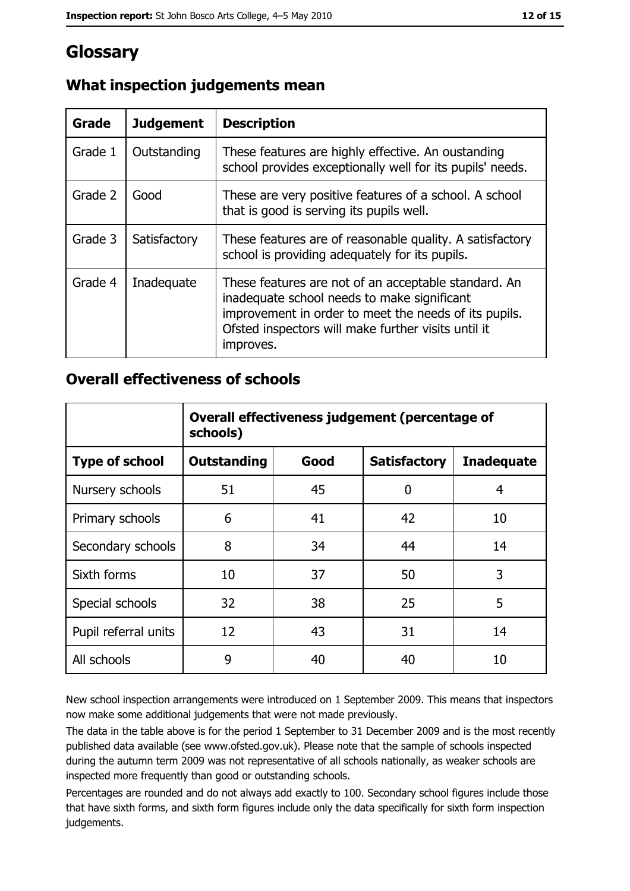## Glossary

| Grade   | <b>Judgement</b> | <b>Description</b>                                                                                                                                                                                                               |
|---------|------------------|----------------------------------------------------------------------------------------------------------------------------------------------------------------------------------------------------------------------------------|
| Grade 1 | Outstanding      | These features are highly effective. An oustanding<br>school provides exceptionally well for its pupils' needs.                                                                                                                  |
| Grade 2 | Good             | These are very positive features of a school. A school<br>that is good is serving its pupils well.                                                                                                                               |
| Grade 3 | Satisfactory     | These features are of reasonable quality. A satisfactory<br>school is providing adequately for its pupils.                                                                                                                       |
| Grade 4 | Inadequate       | These features are not of an acceptable standard. An<br>inadequate school needs to make significant<br>improvement in order to meet the needs of its pupils.<br>Ofsted inspectors will make further visits until it<br>improves. |

## What inspection judgements mean

#### **Overall effectiveness of schools**

|                       | Overall effectiveness judgement (percentage of<br>schools) |      |                     |                   |  |
|-----------------------|------------------------------------------------------------|------|---------------------|-------------------|--|
| <b>Type of school</b> | <b>Outstanding</b>                                         | Good | <b>Satisfactory</b> | <b>Inadequate</b> |  |
| Nursery schools       | 51                                                         | 45   | 0                   | 4                 |  |
| Primary schools       | 6                                                          | 41   | 42                  | 10                |  |
| Secondary schools     | 8                                                          | 34   | 44                  | 14                |  |
| Sixth forms           | 10                                                         | 37   | 50                  | 3                 |  |
| Special schools       | 32                                                         | 38   | 25                  | 5                 |  |
| Pupil referral units  | 12                                                         | 43   | 31                  | 14                |  |
| All schools           | 9                                                          | 40   | 40                  | 10                |  |

New school inspection arrangements were introduced on 1 September 2009. This means that inspectors now make some additional judgements that were not made previously.

The data in the table above is for the period 1 September to 31 December 2009 and is the most recently published data available (see www.ofsted.gov.uk). Please note that the sample of schools inspected during the autumn term 2009 was not representative of all schools nationally, as weaker schools are inspected more frequently than good or outstanding schools.

Percentages are rounded and do not always add exactly to 100. Secondary school figures include those that have sixth forms, and sixth form figures include only the data specifically for sixth form inspection judgements.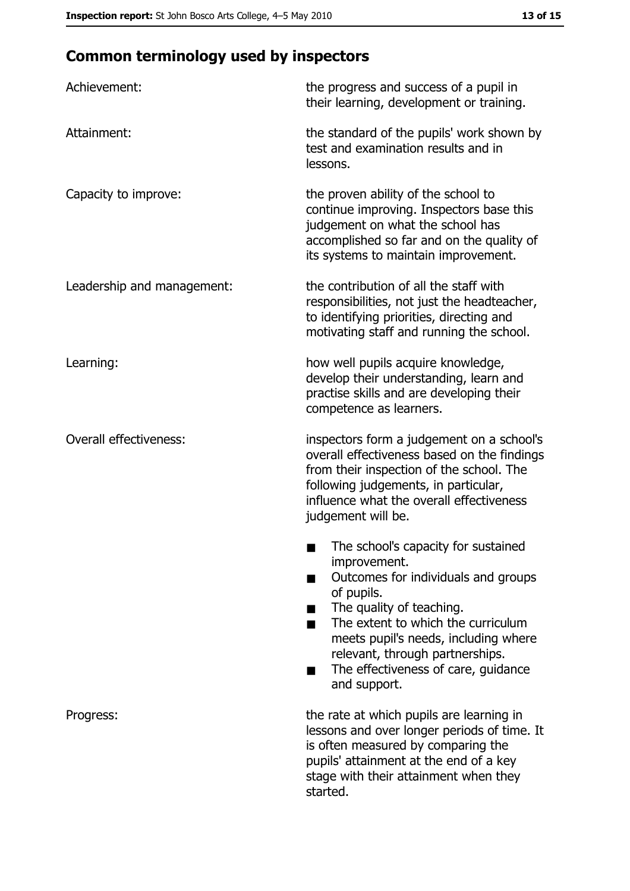# **Common terminology used by inspectors**

| Achievement:                  | the progress and success of a pupil in<br>their learning, development or training.                                                                                                                                                                                                                           |
|-------------------------------|--------------------------------------------------------------------------------------------------------------------------------------------------------------------------------------------------------------------------------------------------------------------------------------------------------------|
| Attainment:                   | the standard of the pupils' work shown by<br>test and examination results and in<br>lessons.                                                                                                                                                                                                                 |
| Capacity to improve:          | the proven ability of the school to<br>continue improving. Inspectors base this<br>judgement on what the school has<br>accomplished so far and on the quality of<br>its systems to maintain improvement.                                                                                                     |
| Leadership and management:    | the contribution of all the staff with<br>responsibilities, not just the headteacher,<br>to identifying priorities, directing and<br>motivating staff and running the school.                                                                                                                                |
| Learning:                     | how well pupils acquire knowledge,<br>develop their understanding, learn and<br>practise skills and are developing their<br>competence as learners.                                                                                                                                                          |
| <b>Overall effectiveness:</b> | inspectors form a judgement on a school's<br>overall effectiveness based on the findings<br>from their inspection of the school. The<br>following judgements, in particular,<br>influence what the overall effectiveness<br>judgement will be.                                                               |
|                               | The school's capacity for sustained<br>improvement.<br>Outcomes for individuals and groups<br>of pupils.<br>The quality of teaching.<br>The extent to which the curriculum<br>meets pupil's needs, including where<br>relevant, through partnerships.<br>The effectiveness of care, guidance<br>and support. |
| Progress:                     | the rate at which pupils are learning in<br>lessons and over longer periods of time. It<br>is often measured by comparing the<br>pupils' attainment at the end of a key<br>stage with their attainment when they<br>started.                                                                                 |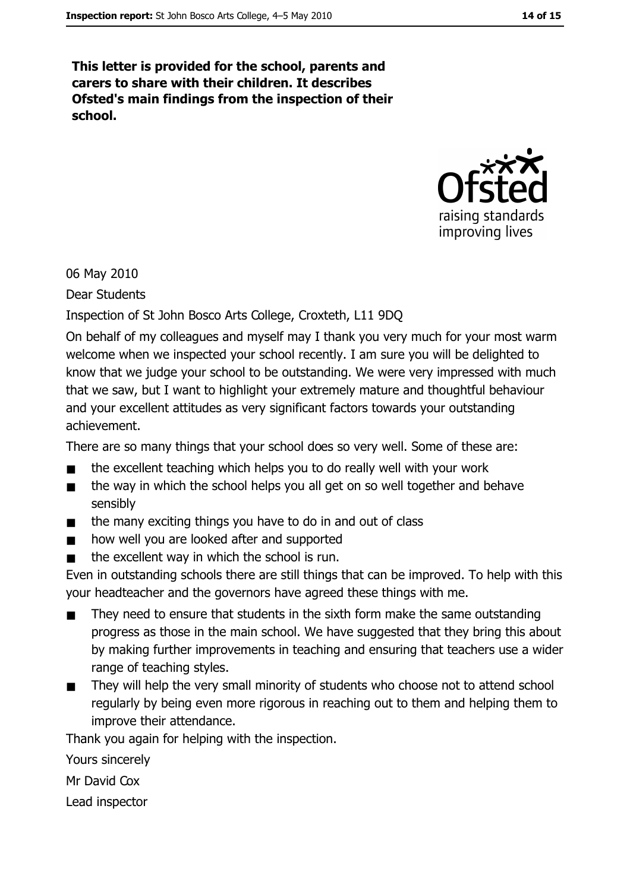This letter is provided for the school, parents and carers to share with their children. It describes Ofsted's main findings from the inspection of their school.



06 May 2010

**Dear Students** 

Inspection of St John Bosco Arts College, Croxteth, L11 9DQ

On behalf of my colleagues and myself may I thank you very much for your most warm welcome when we inspected your school recently. I am sure you will be delighted to know that we judge your school to be outstanding. We were very impressed with much that we saw, but I want to highlight your extremely mature and thoughtful behaviour and your excellent attitudes as very significant factors towards your outstanding achievement.

There are so many things that your school does so very well. Some of these are:

- the excellent teaching which helps you to do really well with your work  $\blacksquare$
- the way in which the school helps you all get on so well together and behave  $\blacksquare$ sensibly
- the many exciting things you have to do in and out of class  $\blacksquare$
- how well you are looked after and supported  $\blacksquare$
- the excellent way in which the school is run.  $\blacksquare$

Even in outstanding schools there are still things that can be improved. To help with this your headteacher and the governors have agreed these things with me.

- They need to ensure that students in the sixth form make the same outstanding  $\blacksquare$ progress as those in the main school. We have suggested that they bring this about by making further improvements in teaching and ensuring that teachers use a wider range of teaching styles.
- They will help the very small minority of students who choose not to attend school  $\blacksquare$ regularly by being even more rigorous in reaching out to them and helping them to improve their attendance.

Thank you again for helping with the inspection.

Yours sincerely

Mr David Cox

Lead inspector